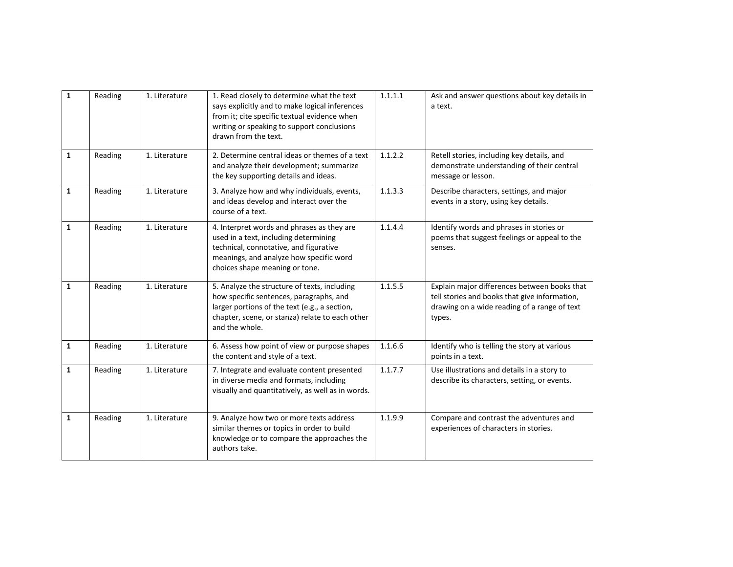| $\mathbf{1}$ | Reading | 1. Literature | 1. Read closely to determine what the text<br>says explicitly and to make logical inferences<br>from it; cite specific textual evidence when<br>writing or speaking to support conclusions<br>drawn from the text. | 1.1.1.1 | Ask and answer questions about key details in<br>a text.                                                                                                |
|--------------|---------|---------------|--------------------------------------------------------------------------------------------------------------------------------------------------------------------------------------------------------------------|---------|---------------------------------------------------------------------------------------------------------------------------------------------------------|
| $\mathbf{1}$ | Reading | 1. Literature | 2. Determine central ideas or themes of a text<br>and analyze their development; summarize<br>the key supporting details and ideas.                                                                                | 1.1.2.2 | Retell stories, including key details, and<br>demonstrate understanding of their central<br>message or lesson.                                          |
| $\mathbf{1}$ | Reading | 1. Literature | 3. Analyze how and why individuals, events,<br>and ideas develop and interact over the<br>course of a text.                                                                                                        | 1.1.3.3 | Describe characters, settings, and major<br>events in a story, using key details.                                                                       |
| $\mathbf{1}$ | Reading | 1. Literature | 4. Interpret words and phrases as they are<br>used in a text, including determining<br>technical, connotative, and figurative<br>meanings, and analyze how specific word<br>choices shape meaning or tone.         | 1.1.4.4 | Identify words and phrases in stories or<br>poems that suggest feelings or appeal to the<br>senses.                                                     |
| $\mathbf{1}$ | Reading | 1. Literature | 5. Analyze the structure of texts, including<br>how specific sentences, paragraphs, and<br>larger portions of the text (e.g., a section,<br>chapter, scene, or stanza) relate to each other<br>and the whole.      | 1.1.5.5 | Explain major differences between books that<br>tell stories and books that give information,<br>drawing on a wide reading of a range of text<br>types. |
| $\mathbf{1}$ | Reading | 1. Literature | 6. Assess how point of view or purpose shapes<br>the content and style of a text.                                                                                                                                  | 1.1.6.6 | Identify who is telling the story at various<br>points in a text.                                                                                       |
| $\mathbf{1}$ | Reading | 1. Literature | 7. Integrate and evaluate content presented<br>in diverse media and formats, including<br>visually and quantitatively, as well as in words.                                                                        | 1.1.7.7 | Use illustrations and details in a story to<br>describe its characters, setting, or events.                                                             |
| 1            | Reading | 1. Literature | 9. Analyze how two or more texts address<br>similar themes or topics in order to build<br>knowledge or to compare the approaches the<br>authors take.                                                              | 1.1.9.9 | Compare and contrast the adventures and<br>experiences of characters in stories.                                                                        |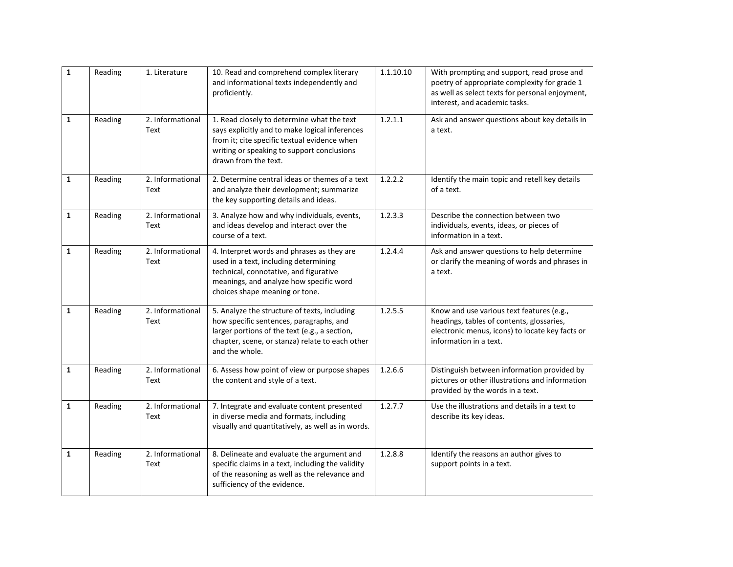| $\mathbf 1$  | Reading | 1. Literature            | 10. Read and comprehend complex literary<br>and informational texts independently and<br>proficiently.                                                                                                             | 1.1.10.10 | With prompting and support, read prose and<br>poetry of appropriate complexity for grade 1<br>as well as select texts for personal enjoyment,<br>interest, and academic tasks. |
|--------------|---------|--------------------------|--------------------------------------------------------------------------------------------------------------------------------------------------------------------------------------------------------------------|-----------|--------------------------------------------------------------------------------------------------------------------------------------------------------------------------------|
| $\mathbf{1}$ | Reading | 2. Informational<br>Text | 1. Read closely to determine what the text<br>says explicitly and to make logical inferences<br>from it; cite specific textual evidence when<br>writing or speaking to support conclusions<br>drawn from the text. | 1.2.1.1   | Ask and answer questions about key details in<br>a text.                                                                                                                       |
| $\mathbf{1}$ | Reading | 2. Informational<br>Text | 2. Determine central ideas or themes of a text<br>and analyze their development; summarize<br>the key supporting details and ideas.                                                                                | 1.2.2.2   | Identify the main topic and retell key details<br>of a text.                                                                                                                   |
| $\mathbf{1}$ | Reading | 2. Informational<br>Text | 3. Analyze how and why individuals, events,<br>and ideas develop and interact over the<br>course of a text.                                                                                                        | 1.2.3.3   | Describe the connection between two<br>individuals, events, ideas, or pieces of<br>information in a text.                                                                      |
| $\mathbf{1}$ | Reading | 2. Informational<br>Text | 4. Interpret words and phrases as they are<br>used in a text, including determining<br>technical, connotative, and figurative<br>meanings, and analyze how specific word<br>choices shape meaning or tone.         | 1.2.4.4   | Ask and answer questions to help determine<br>or clarify the meaning of words and phrases in<br>a text.                                                                        |
| 1            | Reading | 2. Informational<br>Text | 5. Analyze the structure of texts, including<br>how specific sentences, paragraphs, and<br>larger portions of the text (e.g., a section,<br>chapter, scene, or stanza) relate to each other<br>and the whole.      | 1.2.5.5   | Know and use various text features (e.g.,<br>headings, tables of contents, glossaries,<br>electronic menus, icons) to locate key facts or<br>information in a text.            |
| $\mathbf{1}$ | Reading | 2. Informational<br>Text | 6. Assess how point of view or purpose shapes<br>the content and style of a text.                                                                                                                                  | 1.2.6.6   | Distinguish between information provided by<br>pictures or other illustrations and information<br>provided by the words in a text.                                             |
| $\mathbf{1}$ | Reading | 2. Informational<br>Text | 7. Integrate and evaluate content presented<br>in diverse media and formats, including<br>visually and quantitatively, as well as in words.                                                                        | 1.2.7.7   | Use the illustrations and details in a text to<br>describe its key ideas.                                                                                                      |
| $\mathbf{1}$ | Reading | 2. Informational<br>Text | 8. Delineate and evaluate the argument and<br>specific claims in a text, including the validity<br>of the reasoning as well as the relevance and<br>sufficiency of the evidence.                                   | 1.2.8.8   | Identify the reasons an author gives to<br>support points in a text.                                                                                                           |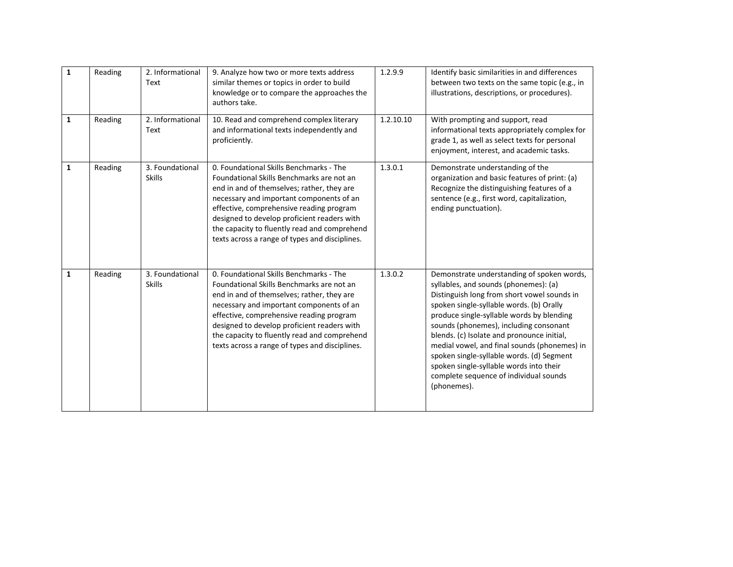| $\mathbf{1}$ | Reading | 2. Informational<br>Text         | 9. Analyze how two or more texts address<br>similar themes or topics in order to build<br>knowledge or to compare the approaches the<br>authors take.                                                                                                                                                                                                                       | 1.2.9.9   | Identify basic similarities in and differences<br>between two texts on the same topic (e.g., in<br>illustrations, descriptions, or procedures).                                                                                                                                                                                                                                                                                                                                                                      |
|--------------|---------|----------------------------------|-----------------------------------------------------------------------------------------------------------------------------------------------------------------------------------------------------------------------------------------------------------------------------------------------------------------------------------------------------------------------------|-----------|----------------------------------------------------------------------------------------------------------------------------------------------------------------------------------------------------------------------------------------------------------------------------------------------------------------------------------------------------------------------------------------------------------------------------------------------------------------------------------------------------------------------|
| $\mathbf{1}$ | Reading | 2. Informational<br>Text         | 10. Read and comprehend complex literary<br>and informational texts independently and<br>proficiently.                                                                                                                                                                                                                                                                      | 1.2.10.10 | With prompting and support, read<br>informational texts appropriately complex for<br>grade 1, as well as select texts for personal<br>enjoyment, interest, and academic tasks.                                                                                                                                                                                                                                                                                                                                       |
| 1            | Reading | 3. Foundational<br><b>Skills</b> | 0. Foundational Skills Benchmarks - The<br>Foundational Skills Benchmarks are not an<br>end in and of themselves; rather, they are<br>necessary and important components of an<br>effective, comprehensive reading program<br>designed to develop proficient readers with<br>the capacity to fluently read and comprehend<br>texts across a range of types and disciplines. | 1.3.0.1   | Demonstrate understanding of the<br>organization and basic features of print: (a)<br>Recognize the distinguishing features of a<br>sentence (e.g., first word, capitalization,<br>ending punctuation).                                                                                                                                                                                                                                                                                                               |
| $\mathbf{1}$ | Reading | 3. Foundational<br><b>Skills</b> | 0. Foundational Skills Benchmarks - The<br>Foundational Skills Benchmarks are not an<br>end in and of themselves; rather, they are<br>necessary and important components of an<br>effective, comprehensive reading program<br>designed to develop proficient readers with<br>the capacity to fluently read and comprehend<br>texts across a range of types and disciplines. | 1.3.0.2   | Demonstrate understanding of spoken words,<br>syllables, and sounds (phonemes): (a)<br>Distinguish long from short vowel sounds in<br>spoken single-syllable words. (b) Orally<br>produce single-syllable words by blending<br>sounds (phonemes), including consonant<br>blends. (c) Isolate and pronounce initial,<br>medial vowel, and final sounds (phonemes) in<br>spoken single-syllable words. (d) Segment<br>spoken single-syllable words into their<br>complete sequence of individual sounds<br>(phonemes). |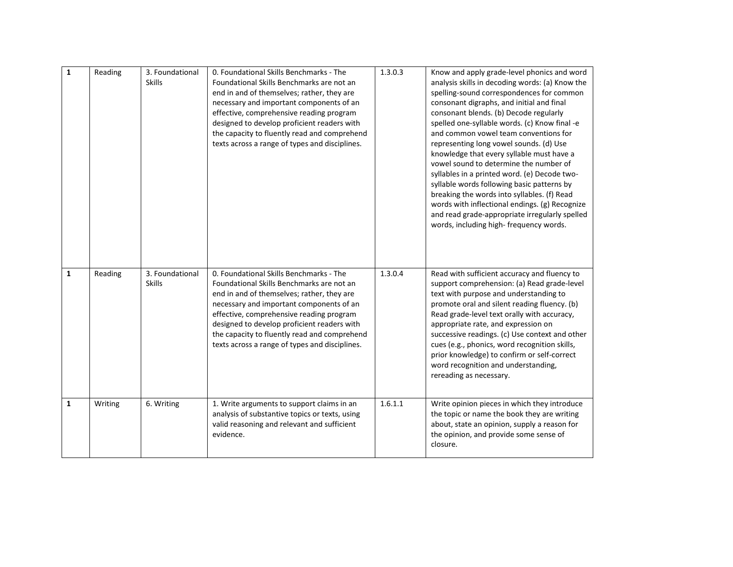| 1 | Reading | 3. Foundational<br><b>Skills</b> | 0. Foundational Skills Benchmarks - The<br>Foundational Skills Benchmarks are not an<br>end in and of themselves; rather, they are<br>necessary and important components of an<br>effective, comprehensive reading program<br>designed to develop proficient readers with<br>the capacity to fluently read and comprehend<br>texts across a range of types and disciplines. | 1.3.0.3 | Know and apply grade-level phonics and word<br>analysis skills in decoding words: (a) Know the<br>spelling-sound correspondences for common<br>consonant digraphs, and initial and final<br>consonant blends. (b) Decode regularly<br>spelled one-syllable words. (c) Know final -e<br>and common vowel team conventions for<br>representing long vowel sounds. (d) Use<br>knowledge that every syllable must have a<br>vowel sound to determine the number of<br>syllables in a printed word. (e) Decode two-<br>syllable words following basic patterns by<br>breaking the words into syllables. (f) Read<br>words with inflectional endings. (g) Recognize<br>and read grade-appropriate irregularly spelled<br>words, including high-frequency words. |
|---|---------|----------------------------------|-----------------------------------------------------------------------------------------------------------------------------------------------------------------------------------------------------------------------------------------------------------------------------------------------------------------------------------------------------------------------------|---------|-----------------------------------------------------------------------------------------------------------------------------------------------------------------------------------------------------------------------------------------------------------------------------------------------------------------------------------------------------------------------------------------------------------------------------------------------------------------------------------------------------------------------------------------------------------------------------------------------------------------------------------------------------------------------------------------------------------------------------------------------------------|
| 1 | Reading | 3. Foundational<br><b>Skills</b> | 0. Foundational Skills Benchmarks - The<br>Foundational Skills Benchmarks are not an<br>end in and of themselves; rather, they are<br>necessary and important components of an<br>effective, comprehensive reading program<br>designed to develop proficient readers with<br>the capacity to fluently read and comprehend<br>texts across a range of types and disciplines. | 1.3.0.4 | Read with sufficient accuracy and fluency to<br>support comprehension: (a) Read grade-level<br>text with purpose and understanding to<br>promote oral and silent reading fluency. (b)<br>Read grade-level text orally with accuracy,<br>appropriate rate, and expression on<br>successive readings. (c) Use context and other<br>cues (e.g., phonics, word recognition skills,<br>prior knowledge) to confirm or self-correct<br>word recognition and understanding,<br>rereading as necessary.                                                                                                                                                                                                                                                           |
| 1 | Writing | 6. Writing                       | 1. Write arguments to support claims in an<br>analysis of substantive topics or texts, using<br>valid reasoning and relevant and sufficient<br>evidence.                                                                                                                                                                                                                    | 1.6.1.1 | Write opinion pieces in which they introduce<br>the topic or name the book they are writing<br>about, state an opinion, supply a reason for<br>the opinion, and provide some sense of<br>closure.                                                                                                                                                                                                                                                                                                                                                                                                                                                                                                                                                         |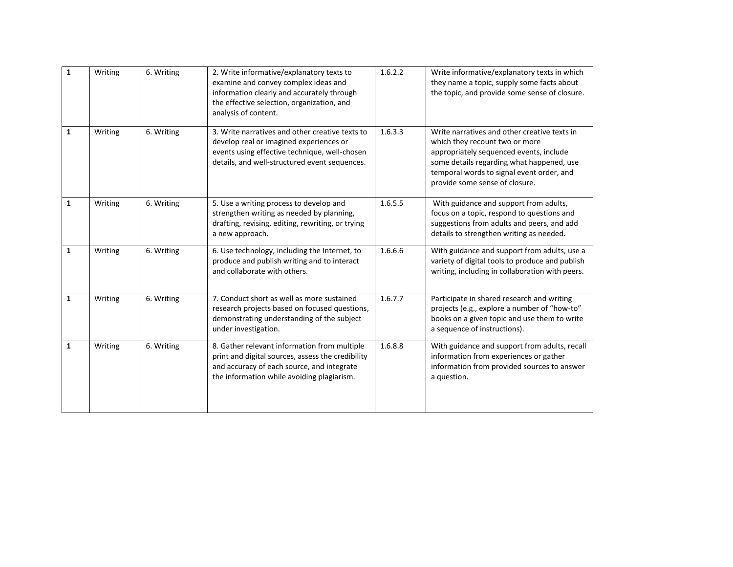| $\mathbf{1}$ | Writing | 6. Writing | 2. Write informative/explanatory texts to<br>examine and convey complex ideas and<br>information clearly and accurately through<br>the effective selection, organization, and<br>analysis of content. | 1.6.2.2 | Write informative/explanatory texts in which<br>they name a topic, supply some facts about<br>the topic, and provide some sense of closure.                                                                                                           |
|--------------|---------|------------|-------------------------------------------------------------------------------------------------------------------------------------------------------------------------------------------------------|---------|-------------------------------------------------------------------------------------------------------------------------------------------------------------------------------------------------------------------------------------------------------|
| 1            | Writing | 6. Writing | 3. Write narratives and other creative texts to<br>develop real or imagined experiences or<br>events using effective technique, well-chosen<br>details, and well-structured event sequences.          | 1.6.3.3 | Write narratives and other creative texts in<br>which they recount two or more<br>appropriately sequenced events, include<br>some details regarding what happened, use<br>temporal words to signal event order, and<br>provide some sense of closure. |
| $\mathbf{1}$ | Writing | 6. Writing | 5. Use a writing process to develop and<br>strengthen writing as needed by planning,<br>drafting, revising, editing, rewriting, or trying<br>a new approach.                                          | 1.6.5.5 | With guidance and support from adults,<br>focus on a topic, respond to questions and<br>suggestions from adults and peers, and add<br>details to strengthen writing as needed.                                                                        |
| 1            | Writing | 6. Writing | 6. Use technology, including the Internet, to<br>produce and publish writing and to interact<br>and collaborate with others.                                                                          | 1.6.6.6 | With guidance and support from adults, use a<br>variety of digital tools to produce and publish<br>writing, including in collaboration with peers.                                                                                                    |
| 1            | Writing | 6. Writing | 7. Conduct short as well as more sustained<br>research projects based on focused questions,<br>demonstrating understanding of the subject<br>under investigation.                                     | 1.6.7.7 | Participate in shared research and writing<br>projects (e.g., explore a number of "how-to"<br>books on a given topic and use them to write<br>a sequence of instructions).                                                                            |
| $\mathbf{1}$ | Writing | 6. Writing | 8. Gather relevant information from multiple<br>print and digital sources, assess the credibility<br>and accuracy of each source, and integrate<br>the information while avoiding plagiarism.         | 1.6.8.8 | With guidance and support from adults, recall<br>information from experiences or gather<br>information from provided sources to answer<br>a question.                                                                                                 |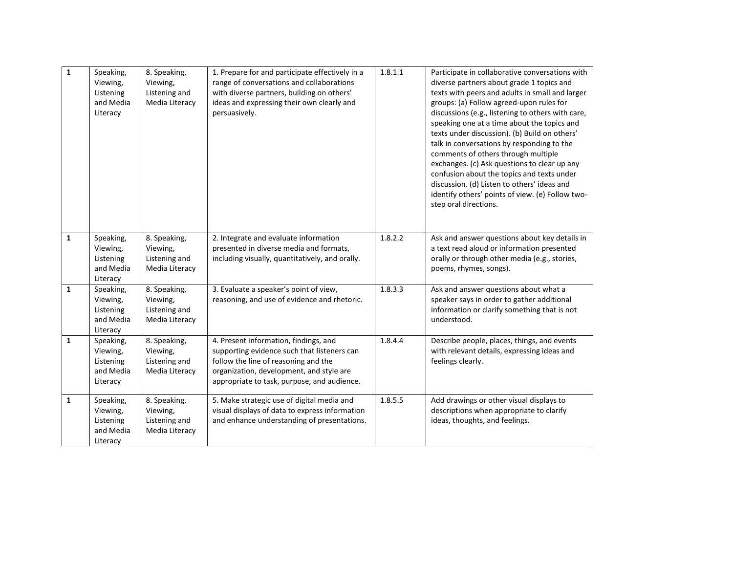| $\mathbf{1}$ | Speaking,<br>Viewing,<br>Listening<br>and Media<br>Literacy | 8. Speaking,<br>Viewing,<br>Listening and<br>Media Literacy | 1. Prepare for and participate effectively in a<br>range of conversations and collaborations<br>with diverse partners, building on others'<br>ideas and expressing their own clearly and<br>persuasively.               | 1.8.1.1 | Participate in collaborative conversations with<br>diverse partners about grade 1 topics and<br>texts with peers and adults in small and larger<br>groups: (a) Follow agreed-upon rules for<br>discussions (e.g., listening to others with care,<br>speaking one at a time about the topics and<br>texts under discussion). (b) Build on others'<br>talk in conversations by responding to the<br>comments of others through multiple<br>exchanges. (c) Ask questions to clear up any<br>confusion about the topics and texts under<br>discussion. (d) Listen to others' ideas and<br>identify others' points of view. (e) Follow two-<br>step oral directions. |
|--------------|-------------------------------------------------------------|-------------------------------------------------------------|-------------------------------------------------------------------------------------------------------------------------------------------------------------------------------------------------------------------------|---------|-----------------------------------------------------------------------------------------------------------------------------------------------------------------------------------------------------------------------------------------------------------------------------------------------------------------------------------------------------------------------------------------------------------------------------------------------------------------------------------------------------------------------------------------------------------------------------------------------------------------------------------------------------------------|
| $\mathbf{1}$ | Speaking,<br>Viewing,<br>Listening<br>and Media<br>Literacy | 8. Speaking,<br>Viewing,<br>Listening and<br>Media Literacy | 2. Integrate and evaluate information<br>presented in diverse media and formats,<br>including visually, quantitatively, and orally.                                                                                     | 1.8.2.2 | Ask and answer questions about key details in<br>a text read aloud or information presented<br>orally or through other media (e.g., stories,<br>poems, rhymes, songs).                                                                                                                                                                                                                                                                                                                                                                                                                                                                                          |
| $\mathbf{1}$ | Speaking,<br>Viewing,<br>Listening<br>and Media<br>Literacy | 8. Speaking,<br>Viewing,<br>Listening and<br>Media Literacy | 3. Evaluate a speaker's point of view,<br>reasoning, and use of evidence and rhetoric.                                                                                                                                  | 1.8.3.3 | Ask and answer questions about what a<br>speaker says in order to gather additional<br>information or clarify something that is not<br>understood.                                                                                                                                                                                                                                                                                                                                                                                                                                                                                                              |
| $\mathbf{1}$ | Speaking,<br>Viewing,<br>Listening<br>and Media<br>Literacy | 8. Speaking,<br>Viewing,<br>Listening and<br>Media Literacy | 4. Present information, findings, and<br>supporting evidence such that listeners can<br>follow the line of reasoning and the<br>organization, development, and style are<br>appropriate to task, purpose, and audience. | 1.8.4.4 | Describe people, places, things, and events<br>with relevant details, expressing ideas and<br>feelings clearly.                                                                                                                                                                                                                                                                                                                                                                                                                                                                                                                                                 |
| $\mathbf{1}$ | Speaking,<br>Viewing,<br>Listening<br>and Media<br>Literacy | 8. Speaking,<br>Viewing,<br>Listening and<br>Media Literacy | 5. Make strategic use of digital media and<br>visual displays of data to express information<br>and enhance understanding of presentations.                                                                             | 1.8.5.5 | Add drawings or other visual displays to<br>descriptions when appropriate to clarify<br>ideas, thoughts, and feelings.                                                                                                                                                                                                                                                                                                                                                                                                                                                                                                                                          |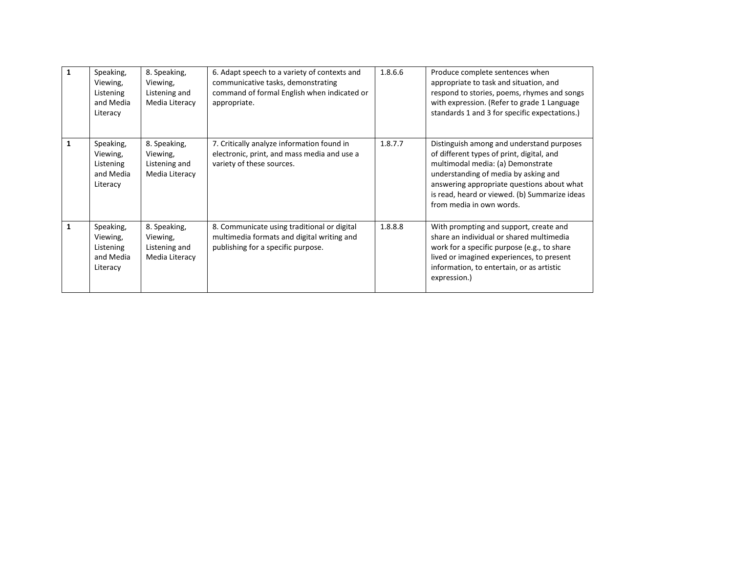| Speaking,<br>Viewing,<br>Listening<br>and Media<br>Literacy | 8. Speaking,<br>Viewing,<br>Listening and<br>Media Literacy | 6. Adapt speech to a variety of contexts and<br>communicative tasks, demonstrating<br>command of formal English when indicated or<br>appropriate. | 1.8.6.6 | Produce complete sentences when<br>appropriate to task and situation, and<br>respond to stories, poems, rhymes and songs<br>with expression. (Refer to grade 1 Language<br>standards 1 and 3 for specific expectations.)                                                                       |
|-------------------------------------------------------------|-------------------------------------------------------------|---------------------------------------------------------------------------------------------------------------------------------------------------|---------|------------------------------------------------------------------------------------------------------------------------------------------------------------------------------------------------------------------------------------------------------------------------------------------------|
| Speaking,<br>Viewing,<br>Listening<br>and Media<br>Literacy | 8. Speaking,<br>Viewing,<br>Listening and<br>Media Literacy | 7. Critically analyze information found in<br>electronic, print, and mass media and use a<br>variety of these sources.                            | 1.8.7.7 | Distinguish among and understand purposes<br>of different types of print, digital, and<br>multimodal media: (a) Demonstrate<br>understanding of media by asking and<br>answering appropriate questions about what<br>is read, heard or viewed. (b) Summarize ideas<br>from media in own words. |
| Speaking,<br>Viewing,<br>Listening<br>and Media<br>Literacy | 8. Speaking,<br>Viewing,<br>Listening and<br>Media Literacy | 8. Communicate using traditional or digital<br>multimedia formats and digital writing and<br>publishing for a specific purpose.                   | 1.8.8.8 | With prompting and support, create and<br>share an individual or shared multimedia<br>work for a specific purpose (e.g., to share<br>lived or imagined experiences, to present<br>information, to entertain, or as artistic<br>expression.)                                                    |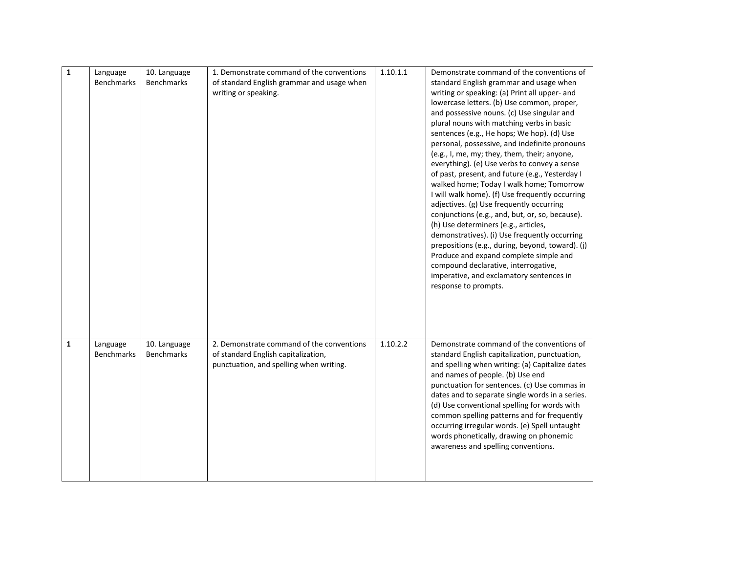| $\mathbf 1$  | Language<br><b>Benchmarks</b> | 10. Language<br>Benchmarks        | 1. Demonstrate command of the conventions<br>of standard English grammar and usage when<br>writing or speaking.             | 1.10.1.1 | Demonstrate command of the conventions of<br>standard English grammar and usage when<br>writing or speaking: (a) Print all upper- and<br>lowercase letters. (b) Use common, proper,<br>and possessive nouns. (c) Use singular and<br>plural nouns with matching verbs in basic<br>sentences (e.g., He hops; We hop). (d) Use<br>personal, possessive, and indefinite pronouns<br>(e.g., I, me, my; they, them, their; anyone,<br>everything). (e) Use verbs to convey a sense<br>of past, present, and future (e.g., Yesterday I<br>walked home; Today I walk home; Tomorrow<br>I will walk home). (f) Use frequently occurring<br>adjectives. (g) Use frequently occurring<br>conjunctions (e.g., and, but, or, so, because).<br>(h) Use determiners (e.g., articles,<br>demonstratives). (i) Use frequently occurring<br>prepositions (e.g., during, beyond, toward). (j)<br>Produce and expand complete simple and<br>compound declarative, interrogative,<br>imperative, and exclamatory sentences in<br>response to prompts. |
|--------------|-------------------------------|-----------------------------------|-----------------------------------------------------------------------------------------------------------------------------|----------|-----------------------------------------------------------------------------------------------------------------------------------------------------------------------------------------------------------------------------------------------------------------------------------------------------------------------------------------------------------------------------------------------------------------------------------------------------------------------------------------------------------------------------------------------------------------------------------------------------------------------------------------------------------------------------------------------------------------------------------------------------------------------------------------------------------------------------------------------------------------------------------------------------------------------------------------------------------------------------------------------------------------------------------|
| $\mathbf{1}$ | Language<br><b>Benchmarks</b> | 10. Language<br><b>Benchmarks</b> | 2. Demonstrate command of the conventions<br>of standard English capitalization,<br>punctuation, and spelling when writing. | 1.10.2.2 | Demonstrate command of the conventions of<br>standard English capitalization, punctuation,<br>and spelling when writing: (a) Capitalize dates<br>and names of people. (b) Use end<br>punctuation for sentences. (c) Use commas in<br>dates and to separate single words in a series.<br>(d) Use conventional spelling for words with<br>common spelling patterns and for frequently<br>occurring irregular words. (e) Spell untaught<br>words phonetically, drawing on phonemic<br>awareness and spelling conventions.                                                                                                                                                                                                                                                                                                                                                                                                                                                                                                            |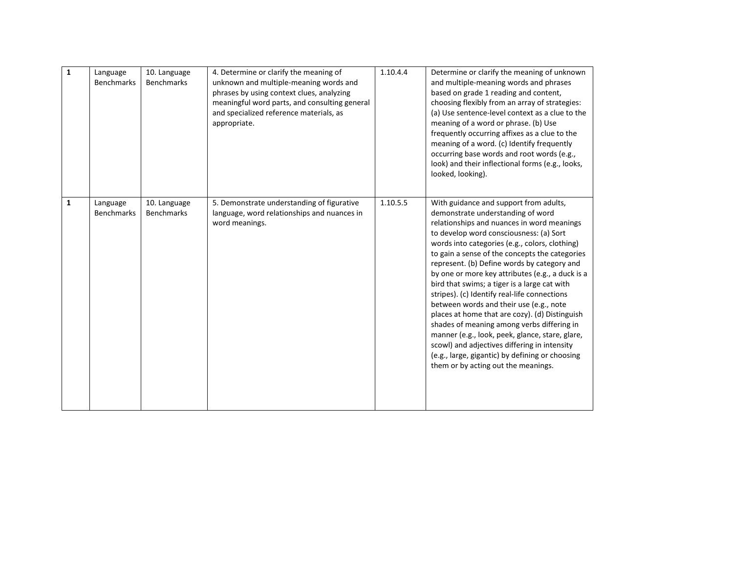| $\mathbf{1}$ | Language<br><b>Benchmarks</b> | 10. Language<br><b>Benchmarks</b> | 4. Determine or clarify the meaning of<br>unknown and multiple-meaning words and<br>phrases by using context clues, analyzing<br>meaningful word parts, and consulting general<br>and specialized reference materials, as<br>appropriate. | 1.10.4.4 | Determine or clarify the meaning of unknown<br>and multiple-meaning words and phrases<br>based on grade 1 reading and content,<br>choosing flexibly from an array of strategies:<br>(a) Use sentence-level context as a clue to the<br>meaning of a word or phrase. (b) Use<br>frequently occurring affixes as a clue to the<br>meaning of a word. (c) Identify frequently<br>occurring base words and root words (e.g.,<br>look) and their inflectional forms (e.g., looks,<br>looked, looking).                                                                                                                                                                                                                                                                                                                   |
|--------------|-------------------------------|-----------------------------------|-------------------------------------------------------------------------------------------------------------------------------------------------------------------------------------------------------------------------------------------|----------|---------------------------------------------------------------------------------------------------------------------------------------------------------------------------------------------------------------------------------------------------------------------------------------------------------------------------------------------------------------------------------------------------------------------------------------------------------------------------------------------------------------------------------------------------------------------------------------------------------------------------------------------------------------------------------------------------------------------------------------------------------------------------------------------------------------------|
| $\mathbf{1}$ | Language<br><b>Benchmarks</b> | 10. Language<br><b>Benchmarks</b> | 5. Demonstrate understanding of figurative<br>language, word relationships and nuances in<br>word meanings.                                                                                                                               | 1.10.5.5 | With guidance and support from adults,<br>demonstrate understanding of word<br>relationships and nuances in word meanings<br>to develop word consciousness: (a) Sort<br>words into categories (e.g., colors, clothing)<br>to gain a sense of the concepts the categories<br>represent. (b) Define words by category and<br>by one or more key attributes (e.g., a duck is a<br>bird that swims; a tiger is a large cat with<br>stripes). (c) Identify real-life connections<br>between words and their use (e.g., note<br>places at home that are cozy). (d) Distinguish<br>shades of meaning among verbs differing in<br>manner (e.g., look, peek, glance, stare, glare,<br>scowl) and adjectives differing in intensity<br>(e.g., large, gigantic) by defining or choosing<br>them or by acting out the meanings. |